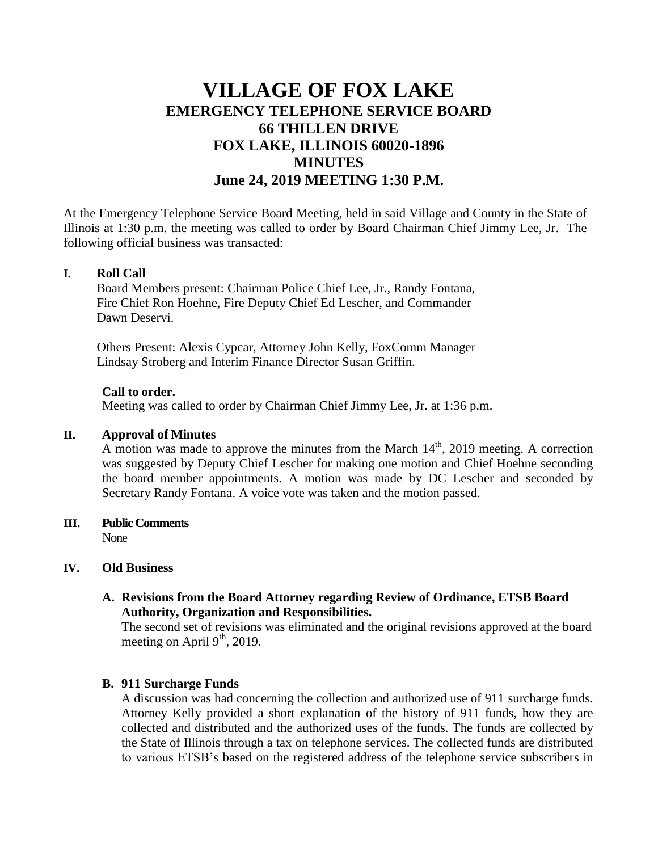# **VILLAGE OF FOX LAKE EMERGENCY TELEPHONE SERVICE BOARD 66 THILLEN DRIVE FOX LAKE, ILLINOIS 60020-1896 MINUTES June 24, 2019 MEETING 1:30 P.M.**

At the Emergency Telephone Service Board Meeting, held in said Village and County in the State of Illinois at 1:30 p.m. the meeting was called to order by Board Chairman Chief Jimmy Lee, Jr. The following official business was transacted:

# **I. Roll Call**

Board Members present: Chairman Police Chief Lee, Jr., Randy Fontana, Fire Chief Ron Hoehne, Fire Deputy Chief Ed Lescher, and Commander Dawn Deservi.

Others Present: Alexis Cypcar, Attorney John Kelly, FoxComm Manager Lindsay Stroberg and Interim Finance Director Susan Griffin.

## **Call to order.**

Meeting was called to order by Chairman Chief Jimmy Lee, Jr. at 1:36 p.m.

## **II. Approval of Minutes**

A motion was made to approve the minutes from the March  $14<sup>th</sup>$ , 2019 meeting. A correction was suggested by Deputy Chief Lescher for making one motion and Chief Hoehne seconding the board member appointments. A motion was made by DC Lescher and seconded by Secretary Randy Fontana. A voice vote was taken and the motion passed.

#### **III. Public Comments**

None

## **IV. Old Business**

# **A. Revisions from the Board Attorney regarding Review of Ordinance, ETSB Board Authority, Organization and Responsibilities.**

The second set of revisions was eliminated and the original revisions approved at the board meeting on April  $9<sup>th</sup>$ , 2019.

## **B. 911 Surcharge Funds**

A discussion was had concerning the collection and authorized use of 911 surcharge funds. Attorney Kelly provided a short explanation of the history of 911 funds, how they are collected and distributed and the authorized uses of the funds. The funds are collected by the State of Illinois through a tax on telephone services. The collected funds are distributed to various ETSB's based on the registered address of the telephone service subscribers in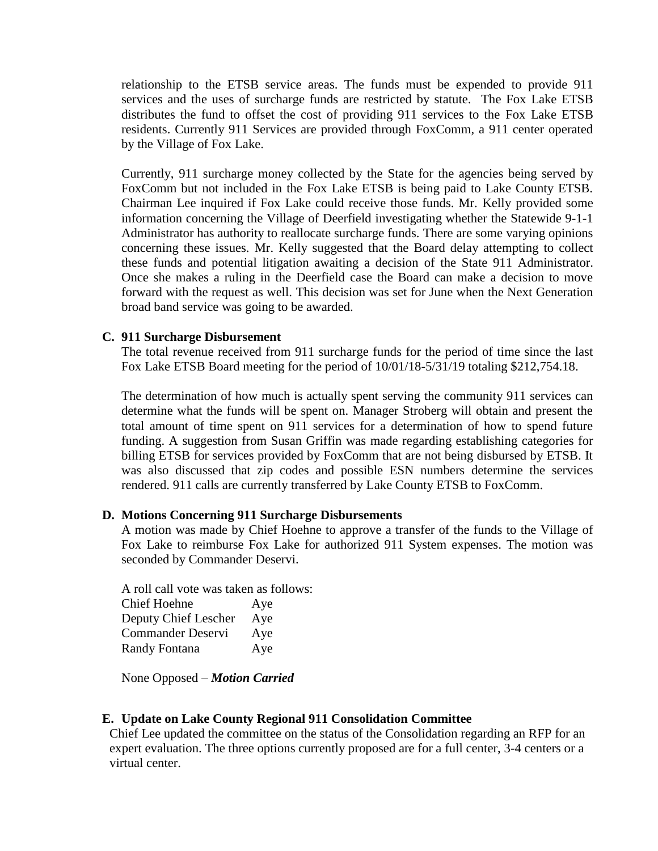relationship to the ETSB service areas. The funds must be expended to provide 911 services and the uses of surcharge funds are restricted by statute. The Fox Lake ETSB distributes the fund to offset the cost of providing 911 services to the Fox Lake ETSB residents. Currently 911 Services are provided through FoxComm, a 911 center operated by the Village of Fox Lake.

Currently, 911 surcharge money collected by the State for the agencies being served by FoxComm but not included in the Fox Lake ETSB is being paid to Lake County ETSB. Chairman Lee inquired if Fox Lake could receive those funds. Mr. Kelly provided some information concerning the Village of Deerfield investigating whether the Statewide 9-1-1 Administrator has authority to reallocate surcharge funds. There are some varying opinions concerning these issues. Mr. Kelly suggested that the Board delay attempting to collect these funds and potential litigation awaiting a decision of the State 911 Administrator. Once she makes a ruling in the Deerfield case the Board can make a decision to move forward with the request as well. This decision was set for June when the Next Generation broad band service was going to be awarded.

# **C. 911 Surcharge Disbursement**

The total revenue received from 911 surcharge funds for the period of time since the last Fox Lake ETSB Board meeting for the period of 10/01/18-5/31/19 totaling \$212,754.18.

The determination of how much is actually spent serving the community 911 services can determine what the funds will be spent on. Manager Stroberg will obtain and present the total amount of time spent on 911 services for a determination of how to spend future funding. A suggestion from Susan Griffin was made regarding establishing categories for billing ETSB for services provided by FoxComm that are not being disbursed by ETSB. It was also discussed that zip codes and possible ESN numbers determine the services rendered. 911 calls are currently transferred by Lake County ETSB to FoxComm.

## **D. Motions Concerning 911 Surcharge Disbursements**

A motion was made by Chief Hoehne to approve a transfer of the funds to the Village of Fox Lake to reimburse Fox Lake for authorized 911 System expenses. The motion was seconded by Commander Deservi.

A roll call vote was taken as follows: Chief Hoehne Aye Deputy Chief Lescher Aye Commander Deservi Aye Randy Fontana Aye

None Opposed – *Motion Carried*

## **E. Update on Lake County Regional 911 Consolidation Committee**

 Chief Lee updated the committee on the status of the Consolidation regarding an RFP for an expert evaluation. The three options currently proposed are for a full center, 3-4 centers or a virtual center.